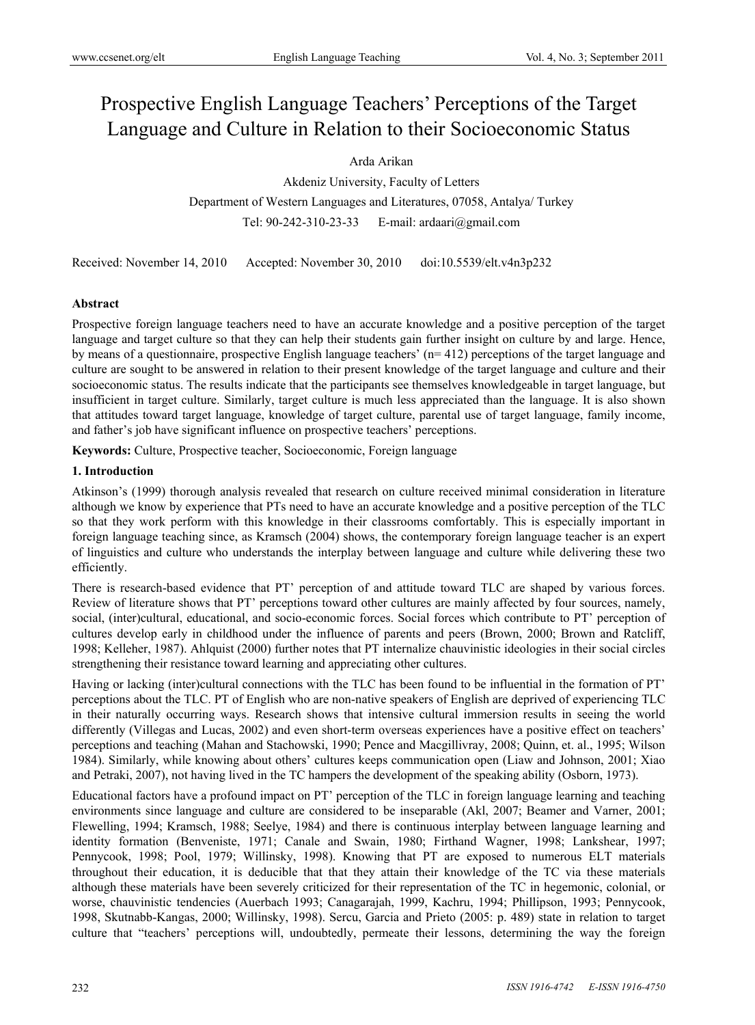# Prospective English Language Teachers' Perceptions of the Target Language and Culture in Relation to their Socioeconomic Status

Arda Arikan

Akdeniz University, Faculty of Letters Department of Western Languages and Literatures, 07058, Antalya/ Turkey Tel: 90-242-310-23-33 E-mail: ardaari@gmail.com

Received: November 14, 2010 Accepted: November 30, 2010 doi:10.5539/elt.v4n3p232

## **Abstract**

Prospective foreign language teachers need to have an accurate knowledge and a positive perception of the target language and target culture so that they can help their students gain further insight on culture by and large. Hence, by means of a questionnaire, prospective English language teachers' (n= 412) perceptions of the target language and culture are sought to be answered in relation to their present knowledge of the target language and culture and their socioeconomic status. The results indicate that the participants see themselves knowledgeable in target language, but insufficient in target culture. Similarly, target culture is much less appreciated than the language. It is also shown that attitudes toward target language, knowledge of target culture, parental use of target language, family income, and father's job have significant influence on prospective teachers' perceptions.

**Keywords:** Culture, Prospective teacher, Socioeconomic, Foreign language

## **1. Introduction**

Atkinson's (1999) thorough analysis revealed that research on culture received minimal consideration in literature although we know by experience that PTs need to have an accurate knowledge and a positive perception of the TLC so that they work perform with this knowledge in their classrooms comfortably. This is especially important in foreign language teaching since, as Kramsch (2004) shows, the contemporary foreign language teacher is an expert of linguistics and culture who understands the interplay between language and culture while delivering these two efficiently.

There is research-based evidence that PT' perception of and attitude toward TLC are shaped by various forces. Review of literature shows that PT' perceptions toward other cultures are mainly affected by four sources, namely, social, (inter)cultural, educational, and socio-economic forces. Social forces which contribute to PT' perception of cultures develop early in childhood under the influence of parents and peers (Brown, 2000; Brown and Ratcliff, 1998; Kelleher, 1987). Ahlquist (2000) further notes that PT internalize chauvinistic ideologies in their social circles strengthening their resistance toward learning and appreciating other cultures.

Having or lacking (inter)cultural connections with the TLC has been found to be influential in the formation of PT' perceptions about the TLC. PT of English who are non-native speakers of English are deprived of experiencing TLC in their naturally occurring ways. Research shows that intensive cultural immersion results in seeing the world differently (Villegas and Lucas, 2002) and even short-term overseas experiences have a positive effect on teachers' perceptions and teaching (Mahan and Stachowski, 1990; Pence and Macgillivray, 2008; Quinn, et. al., 1995; Wilson 1984). Similarly, while knowing about others' cultures keeps communication open (Liaw and Johnson, 2001; Xiao and Petraki, 2007), not having lived in the TC hampers the development of the speaking ability (Osborn, 1973).

Educational factors have a profound impact on PT' perception of the TLC in foreign language learning and teaching environments since language and culture are considered to be inseparable (Akl, 2007; Beamer and Varner, 2001; Flewelling, 1994; Kramsch, 1988; Seelye, 1984) and there is continuous interplay between language learning and identity formation (Benveniste, 1971; Canale and Swain, 1980; Firthand Wagner, 1998; Lankshear, 1997; Pennycook, 1998; Pool, 1979; Willinsky, 1998). Knowing that PT are exposed to numerous ELT materials throughout their education, it is deducible that that they attain their knowledge of the TC via these materials although these materials have been severely criticized for their representation of the TC in hegemonic, colonial, or worse, chauvinistic tendencies (Auerbach 1993; Canagarajah, 1999, Kachru, 1994; Phillipson, 1993; Pennycook, 1998, Skutnabb-Kangas, 2000; Willinsky, 1998). Sercu, Garcia and Prieto (2005: p. 489) state in relation to target culture that "teachers' perceptions will, undoubtedly, permeate their lessons, determining the way the foreign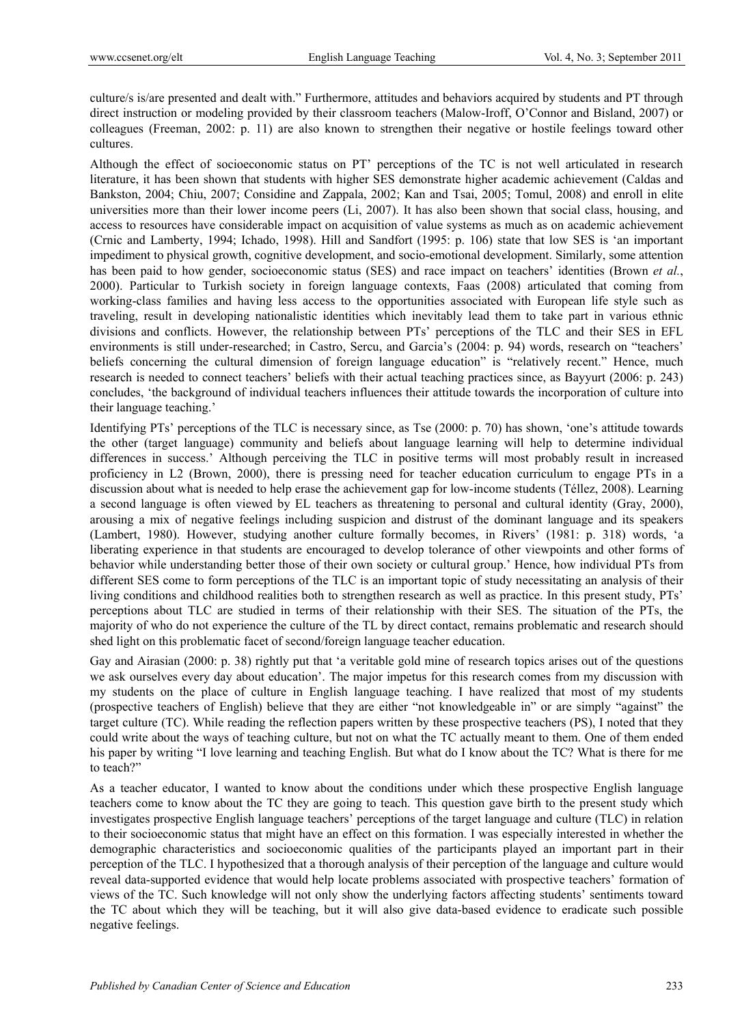culture/s is/are presented and dealt with." Furthermore, attitudes and behaviors acquired by students and PT through direct instruction or modeling provided by their classroom teachers (Malow-Iroff, O'Connor and Bisland, 2007) or colleagues (Freeman, 2002: p. 11) are also known to strengthen their negative or hostile feelings toward other cultures.

Although the effect of socioeconomic status on PT' perceptions of the TC is not well articulated in research literature, it has been shown that students with higher SES demonstrate higher academic achievement (Caldas and Bankston, 2004; Chiu, 2007; Considine and Zappala, 2002; Kan and Tsai, 2005; Tomul, 2008) and enroll in elite universities more than their lower income peers (Li, 2007). It has also been shown that social class, housing, and access to resources have considerable impact on acquisition of value systems as much as on academic achievement (Crnic and Lamberty, 1994; Ichado, 1998). Hill and Sandfort (1995: p. 106) state that low SES is 'an important impediment to physical growth, cognitive development, and socio-emotional development. Similarly, some attention has been paid to how gender, socioeconomic status (SES) and race impact on teachers' identities (Brown *et al.*, 2000). Particular to Turkish society in foreign language contexts, Faas (2008) articulated that coming from working-class families and having less access to the opportunities associated with European life style such as traveling, result in developing nationalistic identities which inevitably lead them to take part in various ethnic divisions and conflicts. However, the relationship between PTs' perceptions of the TLC and their SES in EFL environments is still under-researched; in Castro, Sercu, and Garcia's (2004: p. 94) words, research on "teachers' beliefs concerning the cultural dimension of foreign language education" is "relatively recent." Hence, much research is needed to connect teachers' beliefs with their actual teaching practices since, as Bayyurt (2006: p. 243) concludes, 'the background of individual teachers influences their attitude towards the incorporation of culture into their language teaching.'

Identifying PTs' perceptions of the TLC is necessary since, as Tse (2000: p. 70) has shown, 'one's attitude towards the other (target language) community and beliefs about language learning will help to determine individual differences in success.' Although perceiving the TLC in positive terms will most probably result in increased proficiency in L2 (Brown, 2000), there is pressing need for teacher education curriculum to engage PTs in a discussion about what is needed to help erase the achievement gap for low-income students (Téllez, 2008). Learning a second language is often viewed by EL teachers as threatening to personal and cultural identity (Gray, 2000), arousing a mix of negative feelings including suspicion and distrust of the dominant language and its speakers (Lambert, 1980). However, studying another culture formally becomes, in Rivers' (1981: p. 318) words, 'a liberating experience in that students are encouraged to develop tolerance of other viewpoints and other forms of behavior while understanding better those of their own society or cultural group.' Hence, how individual PTs from different SES come to form perceptions of the TLC is an important topic of study necessitating an analysis of their living conditions and childhood realities both to strengthen research as well as practice. In this present study, PTs' perceptions about TLC are studied in terms of their relationship with their SES. The situation of the PTs, the majority of who do not experience the culture of the TL by direct contact, remains problematic and research should shed light on this problematic facet of second/foreign language teacher education.

Gay and Airasian (2000: p. 38) rightly put that 'a veritable gold mine of research topics arises out of the questions we ask ourselves every day about education'. The major impetus for this research comes from my discussion with my students on the place of culture in English language teaching. I have realized that most of my students (prospective teachers of English) believe that they are either "not knowledgeable in" or are simply "against" the target culture (TC). While reading the reflection papers written by these prospective teachers (PS), I noted that they could write about the ways of teaching culture, but not on what the TC actually meant to them. One of them ended his paper by writing "I love learning and teaching English. But what do I know about the TC? What is there for me to teach?"

As a teacher educator, I wanted to know about the conditions under which these prospective English language teachers come to know about the TC they are going to teach. This question gave birth to the present study which investigates prospective English language teachers' perceptions of the target language and culture (TLC) in relation to their socioeconomic status that might have an effect on this formation. I was especially interested in whether the demographic characteristics and socioeconomic qualities of the participants played an important part in their perception of the TLC. I hypothesized that a thorough analysis of their perception of the language and culture would reveal data-supported evidence that would help locate problems associated with prospective teachers' formation of views of the TC. Such knowledge will not only show the underlying factors affecting students' sentiments toward the TC about which they will be teaching, but it will also give data-based evidence to eradicate such possible negative feelings.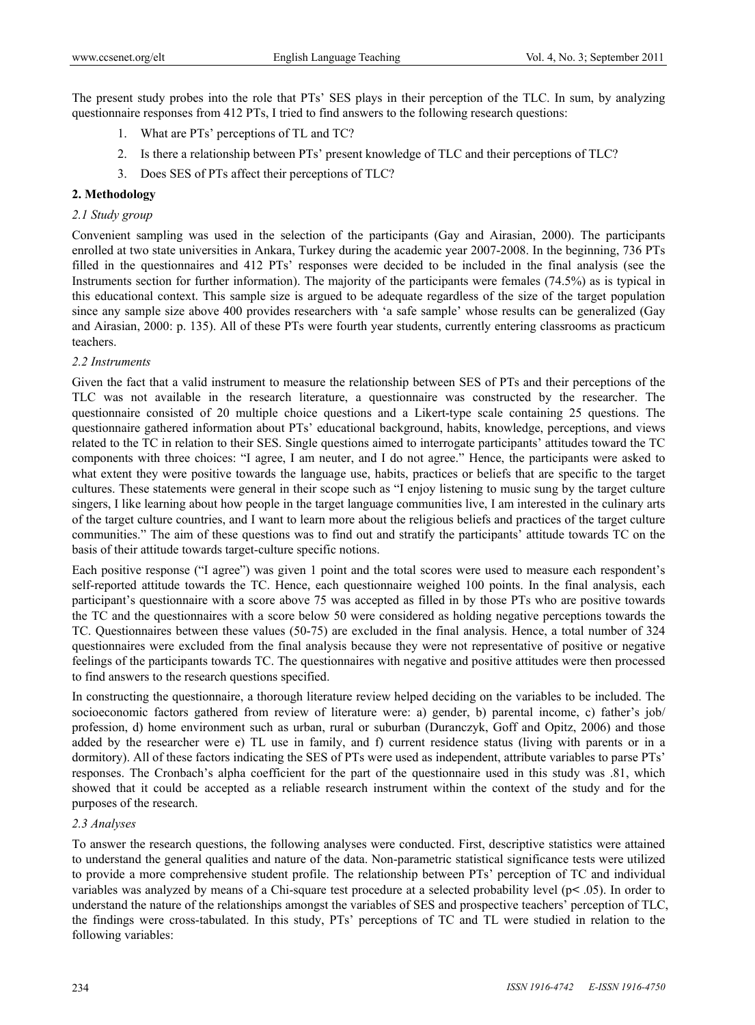The present study probes into the role that PTs' SES plays in their perception of the TLC. In sum, by analyzing questionnaire responses from 412 PTs, I tried to find answers to the following research questions:

- 1. What are PTs' perceptions of TL and TC?
- 2. Is there a relationship between PTs' present knowledge of TLC and their perceptions of TLC?
- 3. Does SES of PTs affect their perceptions of TLC?

#### **2. Methodology**

## *2.1 Study group*

Convenient sampling was used in the selection of the participants (Gay and Airasian, 2000). The participants enrolled at two state universities in Ankara, Turkey during the academic year 2007-2008. In the beginning, 736 PTs filled in the questionnaires and 412 PTs' responses were decided to be included in the final analysis (see the Instruments section for further information). The majority of the participants were females (74.5%) as is typical in this educational context. This sample size is argued to be adequate regardless of the size of the target population since any sample size above 400 provides researchers with 'a safe sample' whose results can be generalized (Gay and Airasian, 2000: p. 135). All of these PTs were fourth year students, currently entering classrooms as practicum teachers.

#### *2.2 Instruments*

Given the fact that a valid instrument to measure the relationship between SES of PTs and their perceptions of the TLC was not available in the research literature, a questionnaire was constructed by the researcher. The questionnaire consisted of 20 multiple choice questions and a Likert-type scale containing 25 questions. The questionnaire gathered information about PTs' educational background, habits, knowledge, perceptions, and views related to the TC in relation to their SES. Single questions aimed to interrogate participants' attitudes toward the TC components with three choices: "I agree, I am neuter, and I do not agree." Hence, the participants were asked to what extent they were positive towards the language use, habits, practices or beliefs that are specific to the target cultures. These statements were general in their scope such as "I enjoy listening to music sung by the target culture singers, I like learning about how people in the target language communities live, I am interested in the culinary arts of the target culture countries, and I want to learn more about the religious beliefs and practices of the target culture communities." The aim of these questions was to find out and stratify the participants' attitude towards TC on the basis of their attitude towards target-culture specific notions.

Each positive response ("I agree") was given 1 point and the total scores were used to measure each respondent's self-reported attitude towards the TC. Hence, each questionnaire weighed 100 points. In the final analysis, each participant's questionnaire with a score above 75 was accepted as filled in by those PTs who are positive towards the TC and the questionnaires with a score below 50 were considered as holding negative perceptions towards the TC. Questionnaires between these values (50-75) are excluded in the final analysis. Hence, a total number of 324 questionnaires were excluded from the final analysis because they were not representative of positive or negative feelings of the participants towards TC. The questionnaires with negative and positive attitudes were then processed to find answers to the research questions specified.

In constructing the questionnaire, a thorough literature review helped deciding on the variables to be included. The socioeconomic factors gathered from review of literature were: a) gender, b) parental income, c) father's job/ profession, d) home environment such as urban, rural or suburban (Duranczyk, Goff and Opitz, 2006) and those added by the researcher were e) TL use in family, and f) current residence status (living with parents or in a dormitory). All of these factors indicating the SES of PTs were used as independent, attribute variables to parse PTs' responses. The Cronbach's alpha coefficient for the part of the questionnaire used in this study was .81, which showed that it could be accepted as a reliable research instrument within the context of the study and for the purposes of the research.

#### *2.3 Analyses*

To answer the research questions, the following analyses were conducted. First, descriptive statistics were attained to understand the general qualities and nature of the data. Non-parametric statistical significance tests were utilized to provide a more comprehensive student profile. The relationship between PTs' perception of TC and individual variables was analyzed by means of a Chi-square test procedure at a selected probability level (p**<** .05). In order to understand the nature of the relationships amongst the variables of SES and prospective teachers' perception of TLC, the findings were cross-tabulated. In this study, PTs' perceptions of TC and TL were studied in relation to the following variables: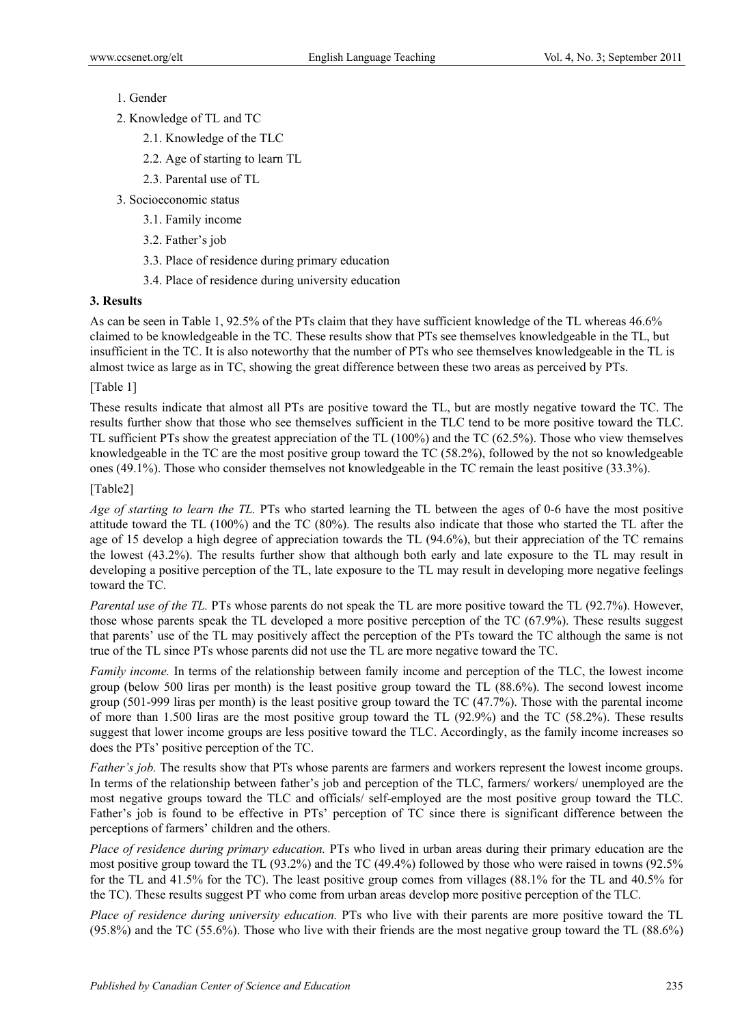- 1. Gender
- 2. Knowledge of TL and TC
	- 2.1. Knowledge of the TLC
	- 2.2. Age of starting to learn TL
	- 2.3. Parental use of TL
- 3. Socioeconomic status
	- 3.1. Family income
	- 3.2. Father's job
	- 3.3. Place of residence during primary education
	- 3.4. Place of residence during university education

## **3. Results**

As can be seen in Table 1, 92.5% of the PTs claim that they have sufficient knowledge of the TL whereas 46.6% claimed to be knowledgeable in the TC. These results show that PTs see themselves knowledgeable in the TL, but insufficient in the TC. It is also noteworthy that the number of PTs who see themselves knowledgeable in the TL is almost twice as large as in TC, showing the great difference between these two areas as perceived by PTs.

## [Table 1]

These results indicate that almost all PTs are positive toward the TL, but are mostly negative toward the TC. The results further show that those who see themselves sufficient in the TLC tend to be more positive toward the TLC. TL sufficient PTs show the greatest appreciation of the TL (100%) and the TC (62.5%). Those who view themselves knowledgeable in the TC are the most positive group toward the TC (58.2%), followed by the not so knowledgeable ones (49.1%). Those who consider themselves not knowledgeable in the TC remain the least positive (33.3%).

## [Table2]

*Age of starting to learn the TL*. PTs who started learning the TL between the ages of 0-6 have the most positive attitude toward the TL (100%) and the TC (80%). The results also indicate that those who started the TL after the age of 15 develop a high degree of appreciation towards the TL (94.6%), but their appreciation of the TC remains the lowest (43.2%). The results further show that although both early and late exposure to the TL may result in developing a positive perception of the TL, late exposure to the TL may result in developing more negative feelings toward the TC.

*Parental use of the TL.* PTs whose parents do not speak the TL are more positive toward the TL (92.7%). However, those whose parents speak the TL developed a more positive perception of the TC (67.9%). These results suggest that parents' use of the TL may positively affect the perception of the PTs toward the TC although the same is not true of the TL since PTs whose parents did not use the TL are more negative toward the TC.

*Family income.* In terms of the relationship between family income and perception of the TLC, the lowest income group (below 500 liras per month) is the least positive group toward the TL (88.6%). The second lowest income group (501-999 liras per month) is the least positive group toward the TC (47.7%). Those with the parental income of more than 1.500 liras are the most positive group toward the TL (92.9%) and the TC (58.2%). These results suggest that lower income groups are less positive toward the TLC. Accordingly, as the family income increases so does the PTs' positive perception of the TC.

*Father's job.* The results show that PTs whose parents are farmers and workers represent the lowest income groups. In terms of the relationship between father's job and perception of the TLC, farmers/ workers/ unemployed are the most negative groups toward the TLC and officials/ self-employed are the most positive group toward the TLC. Father's job is found to be effective in PTs' perception of TC since there is significant difference between the perceptions of farmers' children and the others.

*Place of residence during primary education.* PTs who lived in urban areas during their primary education are the most positive group toward the TL (93.2%) and the TC (49.4%) followed by those who were raised in towns (92.5% for the TL and 41.5% for the TC). The least positive group comes from villages (88.1% for the TL and 40.5% for the TC). These results suggest PT who come from urban areas develop more positive perception of the TLC.

*Place of residence during university education.* PTs who live with their parents are more positive toward the TL (95.8%) and the TC (55.6%). Those who live with their friends are the most negative group toward the TL (88.6%)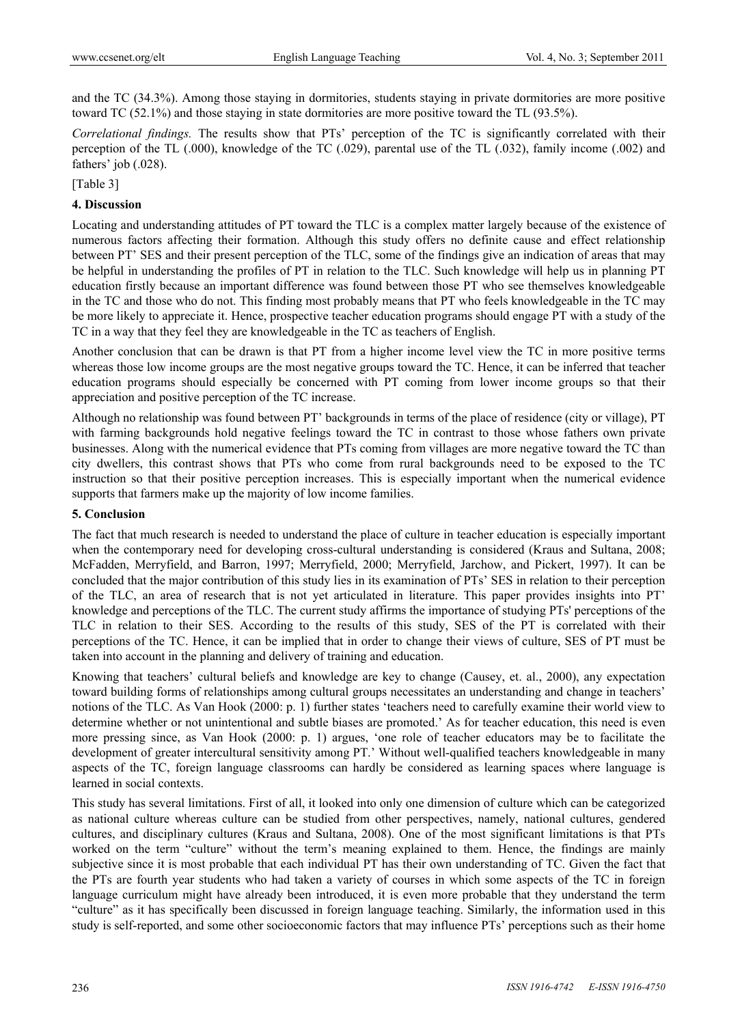and the TC (34.3%). Among those staying in dormitories, students staying in private dormitories are more positive toward TC (52.1%) and those staying in state dormitories are more positive toward the TL (93.5%).

*Correlational findings.* The results show that PTs' perception of the TC is significantly correlated with their perception of the TL (.000), knowledge of the TC (.029), parental use of the TL (.032), family income (.002) and fathers' job (.028).

[Table 3]

## **4. Discussion**

Locating and understanding attitudes of PT toward the TLC is a complex matter largely because of the existence of numerous factors affecting their formation. Although this study offers no definite cause and effect relationship between PT' SES and their present perception of the TLC, some of the findings give an indication of areas that may be helpful in understanding the profiles of PT in relation to the TLC. Such knowledge will help us in planning PT education firstly because an important difference was found between those PT who see themselves knowledgeable in the TC and those who do not. This finding most probably means that PT who feels knowledgeable in the TC may be more likely to appreciate it. Hence, prospective teacher education programs should engage PT with a study of the TC in a way that they feel they are knowledgeable in the TC as teachers of English.

Another conclusion that can be drawn is that PT from a higher income level view the TC in more positive terms whereas those low income groups are the most negative groups toward the TC. Hence, it can be inferred that teacher education programs should especially be concerned with PT coming from lower income groups so that their appreciation and positive perception of the TC increase.

Although no relationship was found between PT' backgrounds in terms of the place of residence (city or village), PT with farming backgrounds hold negative feelings toward the TC in contrast to those whose fathers own private businesses. Along with the numerical evidence that PTs coming from villages are more negative toward the TC than city dwellers, this contrast shows that PTs who come from rural backgrounds need to be exposed to the TC instruction so that their positive perception increases. This is especially important when the numerical evidence supports that farmers make up the majority of low income families.

#### **5. Conclusion**

The fact that much research is needed to understand the place of culture in teacher education is especially important when the contemporary need for developing cross-cultural understanding is considered (Kraus and Sultana, 2008; McFadden, Merryfield, and Barron, 1997; Merryfield, 2000; Merryfield, Jarchow, and Pickert, 1997). It can be concluded that the major contribution of this study lies in its examination of PTs' SES in relation to their perception of the TLC, an area of research that is not yet articulated in literature. This paper provides insights into PT' knowledge and perceptions of the TLC. The current study affirms the importance of studying PTs' perceptions of the TLC in relation to their SES. According to the results of this study, SES of the PT is correlated with their perceptions of the TC. Hence, it can be implied that in order to change their views of culture, SES of PT must be taken into account in the planning and delivery of training and education.

Knowing that teachers' cultural beliefs and knowledge are key to change (Causey, et. al., 2000), any expectation toward building forms of relationships among cultural groups necessitates an understanding and change in teachers' notions of the TLC. As Van Hook (2000: p. 1) further states 'teachers need to carefully examine their world view to determine whether or not unintentional and subtle biases are promoted.' As for teacher education, this need is even more pressing since, as Van Hook (2000: p. 1) argues, 'one role of teacher educators may be to facilitate the development of greater intercultural sensitivity among PT.' Without well-qualified teachers knowledgeable in many aspects of the TC, foreign language classrooms can hardly be considered as learning spaces where language is learned in social contexts.

This study has several limitations. First of all, it looked into only one dimension of culture which can be categorized as national culture whereas culture can be studied from other perspectives, namely, national cultures, gendered cultures, and disciplinary cultures (Kraus and Sultana, 2008). One of the most significant limitations is that PTs worked on the term "culture" without the term's meaning explained to them. Hence, the findings are mainly subjective since it is most probable that each individual PT has their own understanding of TC. Given the fact that the PTs are fourth year students who had taken a variety of courses in which some aspects of the TC in foreign language curriculum might have already been introduced, it is even more probable that they understand the term "culture" as it has specifically been discussed in foreign language teaching. Similarly, the information used in this study is self-reported, and some other socioeconomic factors that may influence PTs' perceptions such as their home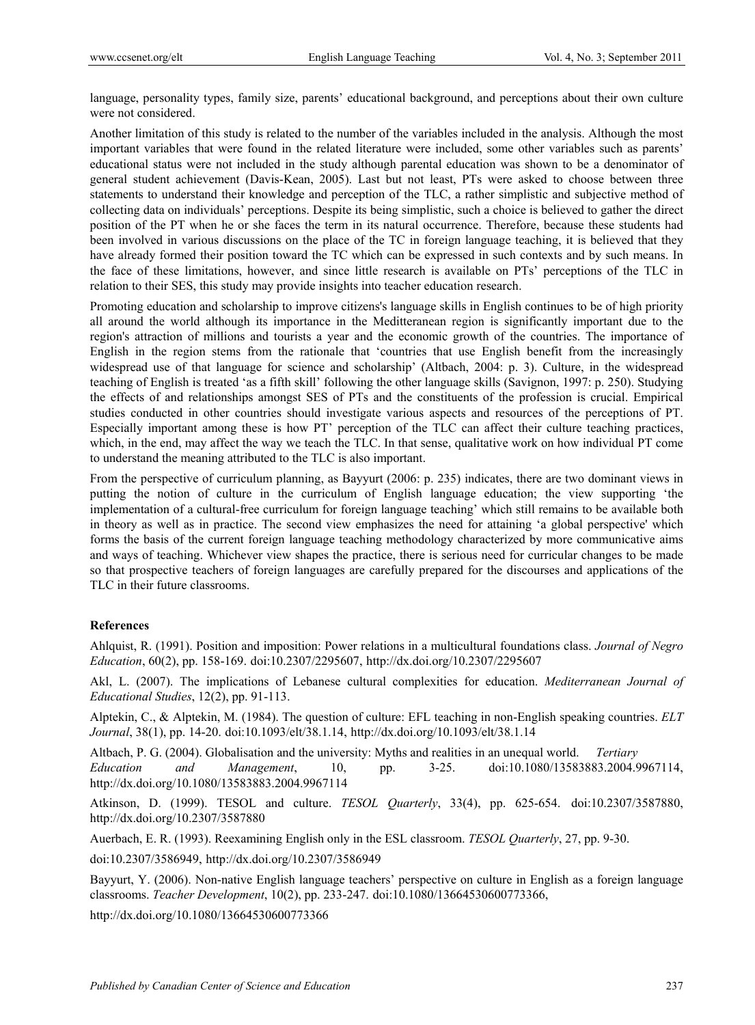language, personality types, family size, parents' educational background, and perceptions about their own culture were not considered.

Another limitation of this study is related to the number of the variables included in the analysis. Although the most important variables that were found in the related literature were included, some other variables such as parents' educational status were not included in the study although parental education was shown to be a denominator of general student achievement (Davis-Kean, 2005). Last but not least, PTs were asked to choose between three statements to understand their knowledge and perception of the TLC, a rather simplistic and subjective method of collecting data on individuals' perceptions. Despite its being simplistic, such a choice is believed to gather the direct position of the PT when he or she faces the term in its natural occurrence. Therefore, because these students had been involved in various discussions on the place of the TC in foreign language teaching, it is believed that they have already formed their position toward the TC which can be expressed in such contexts and by such means. In the face of these limitations, however, and since little research is available on PTs' perceptions of the TLC in relation to their SES, this study may provide insights into teacher education research.

Promoting education and scholarship to improve citizens's language skills in English continues to be of high priority all around the world although its importance in the Meditteranean region is significantly important due to the region's attraction of millions and tourists a year and the economic growth of the countries. The importance of English in the region stems from the rationale that 'countries that use English benefit from the increasingly widespread use of that language for science and scholarship' (Altbach, 2004: p. 3). Culture, in the widespread teaching of English is treated 'as a fifth skill' following the other language skills (Savignon, 1997: p. 250). Studying the effects of and relationships amongst SES of PTs and the constituents of the profession is crucial. Empirical studies conducted in other countries should investigate various aspects and resources of the perceptions of PT. Especially important among these is how PT' perception of the TLC can affect their culture teaching practices, which, in the end, may affect the way we teach the TLC. In that sense, qualitative work on how individual PT come to understand the meaning attributed to the TLC is also important.

From the perspective of curriculum planning, as Bayyurt (2006: p. 235) indicates, there are two dominant views in putting the notion of culture in the curriculum of English language education; the view supporting 'the implementation of a cultural-free curriculum for foreign language teaching' which still remains to be available both in theory as well as in practice. The second view emphasizes the need for attaining 'a global perspective' which forms the basis of the current foreign language teaching methodology characterized by more communicative aims and ways of teaching. Whichever view shapes the practice, there is serious need for curricular changes to be made so that prospective teachers of foreign languages are carefully prepared for the discourses and applications of the TLC in their future classrooms.

#### **References**

Ahlquist, R. (1991). Position and imposition: Power relations in a multicultural foundations class. *Journal of Negro Education*, 60(2), pp. 158-169. doi:10.2307/2295607, http://dx.doi.org/10.2307/2295607

Akl, L. (2007). The implications of Lebanese cultural complexities for education. *Mediterranean Journal of Educational Studies*, 12(2), pp. 91-113.

Alptekin, C., & Alptekin, M. (1984). The question of culture: EFL teaching in non-English speaking countries. *ELT Journal*, 38(1), pp. 14-20. doi:10.1093/elt/38.1.14, http://dx.doi.org/10.1093/elt/38.1.14

Altbach, P. G. (2004). Globalisation and the university: Myths and realities in an unequal world. *Tertiary Education and Management*, 10, pp. 3-25. doi:10.1080/13583883.2004.9967114, http://dx.doi.org/10.1080/13583883.2004.9967114

Atkinson, D. (1999). TESOL and culture. *TESOL Quarterly*, 33(4), pp. 625-654. doi:10.2307/3587880, http://dx.doi.org/10.2307/3587880

Auerbach, E. R. (1993). Reexamining English only in the ESL classroom. *TESOL Quarterly*, 27, pp. 9-30.

doi:10.2307/3586949, http://dx.doi.org/10.2307/3586949

Bayyurt, Y. (2006). Non-native English language teachers' perspective on culture in English as a foreign language classrooms. *Teacher Development*, 10(2), pp. 233-247. doi:10.1080/13664530600773366,

http://dx.doi.org/10.1080/13664530600773366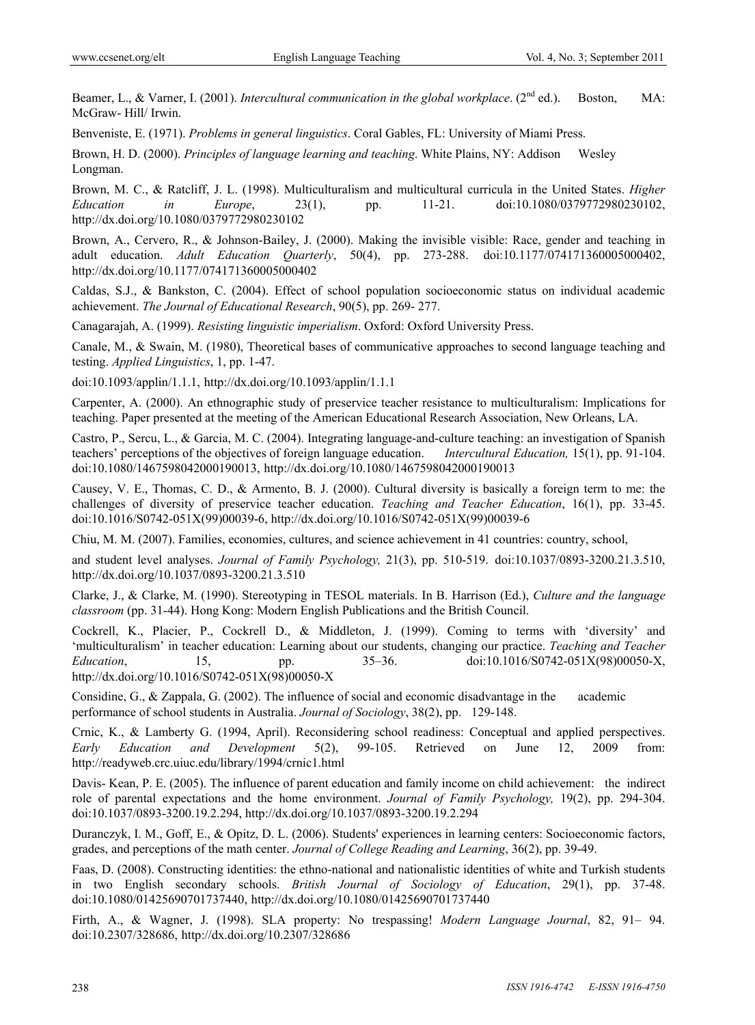Beamer, L., & Varner, I. (2001). *Intercultural communication in the global workplace*. (2<sup>nd</sup> ed.). Boston, MA: McGraw- Hill/ Irwin.

Benveniste, E. (1971). *Problems in general linguistics*. Coral Gables, FL: University of Miami Press.

Brown, H. D. (2000). *Principles of language learning and teaching*. White Plains, NY: Addison Wesley Longman.

Brown, M. C., & Ratcliff, J. L. (1998). Multiculturalism and multicultural curricula in the United States. *Higher Education in Europe*, 23(1), pp. 11-21. doi:10.1080/0379772980230102, http://dx.doi.org/10.1080/0379772980230102

Brown, A., Cervero, R., & Johnson-Bailey, J. (2000). Making the invisible visible: Race, gender and teaching in adult education. *Adult Education Quarterly*, 50(4), pp. 273-288. doi:10.1177/074171360005000402, http://dx.doi.org/10.1177/074171360005000402

Caldas, S.J., & Bankston, C. (2004). Effect of school population socioeconomic status on individual academic achievement. *The Journal of Educational Research*, 90(5), pp. 269- 277.

Canagarajah, A. (1999). *Resisting linguistic imperialism*. Oxford: Oxford University Press.

Canale, M., & Swain, M. (1980), Theoretical bases of communicative approaches to second language teaching and testing. *Applied Linguistics*, 1, pp. 1-47.

doi:10.1093/applin/1.1.1, http://dx.doi.org/10.1093/applin/1.1.1

Carpenter, A. (2000). An ethnographic study of preservice teacher resistance to multiculturalism: Implications for teaching. Paper presented at the meeting of the American Educational Research Association, New Orleans, LA.

Castro, P., Sercu, L., & Garcia, M. C. (2004). Integrating language-and-culture teaching: an investigation of Spanish teachers' perceptions of the objectives of foreign language education. *Intercultural Education,* 15(1), pp. 91-104. doi:10.1080/1467598042000190013, http://dx.doi.org/10.1080/1467598042000190013

Causey, V. E., Thomas, C. D., & Armento, B. J. (2000). Cultural diversity is basically a foreign term to me: the challenges of diversity of preservice teacher education. *Teaching and Teacher Education*, 16(1), pp. 33-45. doi:10.1016/S0742-051X(99)00039-6, http://dx.doi.org/10.1016/S0742-051X(99)00039-6

Chiu, M. M. (2007). Families, economies, cultures, and science achievement in 41 countries: country, school,

and student level analyses. *Journal of Family Psychology,* 21(3), pp. 510-519. doi:10.1037/0893-3200.21.3.510, http://dx.doi.org/10.1037/0893-3200.21.3.510

Clarke, J., & Clarke, M. (1990). Stereotyping in TESOL materials. In B. Harrison (Ed.), *Culture and the language classroom* (pp. 31-44). Hong Kong: Modern English Publications and the British Council.

Cockrell, K., Placier, P., Cockrell D., & Middleton, J. (1999). Coming to terms with 'diversity' and 'multiculturalism' in teacher education: Learning about our students, changing our practice. *Teaching and Teacher Education*, 15, pp. 35–36. doi:10.1016/S0742-051X(98)00050-X, http://dx.doi.org/10.1016/S0742-051X(98)00050-X

Considine, G., & Zappala, G. (2002). The influence of social and economic disadvantage in the academic performance of school students in Australia. *Journal of Sociology*, 38(2), pp. 129-148.

Crnic, K., & Lamberty G. (1994, April). Reconsidering school readiness: Conceptual and applied perspectives. *Early Education and Development* 5(2), 99-105. Retrieved on June 12, 2009 from: http://readyweb.crc.uiuc.edu/library/1994/crnic1.html

Davis- Kean, P. E. (2005). The influence of parent education and family income on child achievement: the indirect role of parental expectations and the home environment. *Journal of Family Psychology,* 19(2), pp. 294-304. doi:10.1037/0893-3200.19.2.294, http://dx.doi.org/10.1037/0893-3200.19.2.294

Duranczyk, I. M., Goff, E., & Opitz, D. L. (2006). Students' experiences in learning centers: Socioeconomic factors, grades, and perceptions of the math center. *Journal of College Reading and Learning*, 36(2), pp. 39-49.

Faas, D. (2008). Constructing identities: the ethno-national and nationalistic identities of white and Turkish students in two English secondary schools. *British Journal of Sociology of Education*, 29(1), pp. 37-48. doi:10.1080/01425690701737440, http://dx.doi.org/10.1080/01425690701737440

Firth, A., & Wagner, J. (1998). SLA property: No trespassing! *Modern Language Journal*, 82, 91– 94. doi:10.2307/328686, http://dx.doi.org/10.2307/328686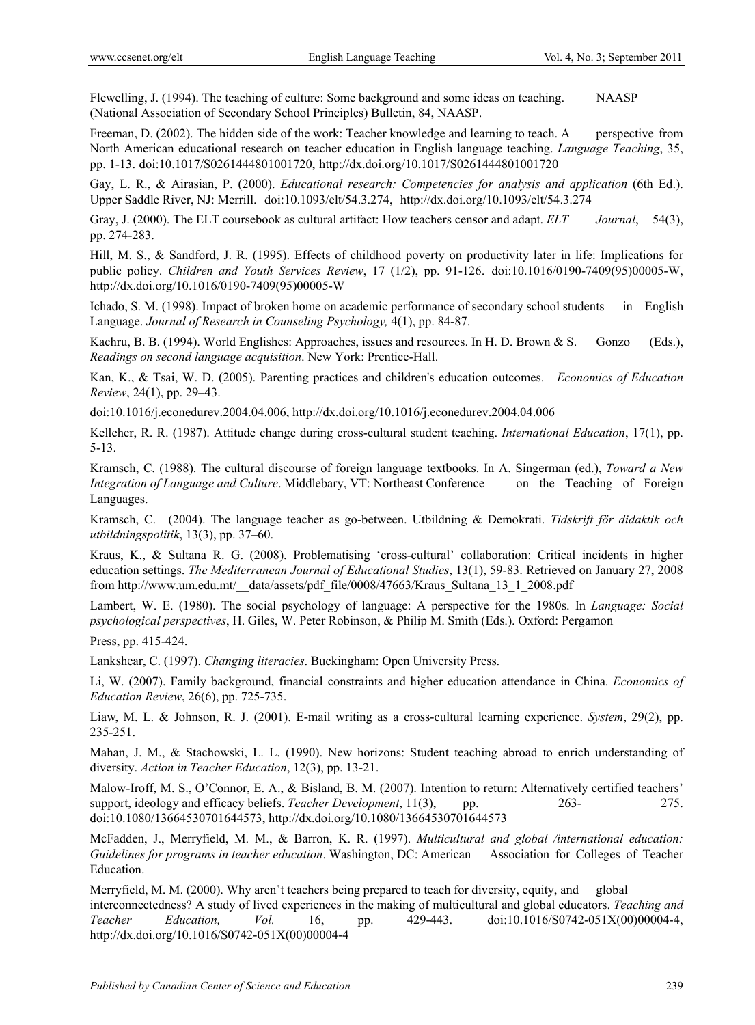Flewelling, J. (1994). The teaching of culture: Some background and some ideas on teaching. NAASP (National Association of Secondary School Principles) Bulletin, 84, NAASP.

Freeman, D. (2002). The hidden side of the work: Teacher knowledge and learning to teach. A perspective from North American educational research on teacher education in English language teaching. *Language Teaching*, 35, pp. 1-13. doi:10.1017/S0261444801001720, http://dx.doi.org/10.1017/S0261444801001720

Gay, L. R., & Airasian, P. (2000). *Educational research: Competencies for analysis and application* (6th Ed.). Upper Saddle River, NJ: Merrill. doi:10.1093/elt/54.3.274, http://dx.doi.org/10.1093/elt/54.3.274

Gray, J. (2000). The ELT coursebook as cultural artifact: How teachers censor and adapt. *ELT Journal*, 54(3), pp. 274-283.

Hill, M. S., & Sandford, J. R. (1995). Effects of childhood poverty on productivity later in life: Implications for public policy. *Children and Youth Services Review*, 17 (1/2), pp. 91-126. doi:10.1016/0190-7409(95)00005-W, http://dx.doi.org/10.1016/0190-7409(95)00005-W

Ichado, S. M. (1998). Impact of broken home on academic performance of secondary school students in English Language. *Journal of Research in Counseling Psychology,* 4(1), pp. 84-87.

Kachru, B. B. (1994). World Englishes: Approaches, issues and resources. In H. D. Brown & S. Gonzo (Eds.), *Readings on second language acquisition*. New York: Prentice-Hall.

Kan, K., & Tsai, W. D. (2005). Parenting practices and children's education outcomes. *Economics of Education Review*, 24(1), pp. 29–43.

doi:10.1016/j.econedurev.2004.04.006, http://dx.doi.org/10.1016/j.econedurev.2004.04.006

Kelleher, R. R. (1987). Attitude change during cross-cultural student teaching. *International Education*, 17(1), pp. 5-13.

Kramsch, C. (1988). The cultural discourse of foreign language textbooks. In A. Singerman (ed.), *Toward a New Integration of Language and Culture*. Middlebary, VT: Northeast Conference on the Teaching of Foreign Languages.

Kramsch, C. (2004). The language teacher as go-between. Utbildning & Demokrati. *Tidskrift för didaktik och utbildningspolitik*, 13(3), pp. 37–60.

Kraus, K., & Sultana R. G. (2008). Problematising 'cross-cultural' collaboration: Critical incidents in higher education settings. *The Mediterranean Journal of Educational Studies*, 13(1), 59-83. Retrieved on January 27, 2008 from http://www.um.edu.mt/\_\_data/assets/pdf\_file/0008/47663/Kraus\_Sultana\_13\_1\_2008.pdf

Lambert, W. E. (1980). The social psychology of language: A perspective for the 1980s. In *Language: Social psychological perspectives*, H. Giles, W. Peter Robinson, & Philip M. Smith (Eds.). Oxford: Pergamon

Press, pp. 415-424.

Lankshear, C. (1997). *Changing literacies*. Buckingham: Open University Press.

Li, W. (2007). Family background, financial constraints and higher education attendance in China. *Economics of Education Review*, 26(6), pp. 725-735.

Liaw, M. L. & Johnson, R. J. (2001). E-mail writing as a cross-cultural learning experience. *System*, 29(2), pp. 235-251.

Mahan, J. M., & Stachowski, L. L. (1990). New horizons: Student teaching abroad to enrich understanding of diversity. *Action in Teacher Education*, 12(3), pp. 13-21.

Malow-Iroff, M. S., O'Connor, E. A., & Bisland, B. M. (2007). Intention to return: Alternatively certified teachers' support, ideology and efficacy beliefs. *Teacher Development*, 11(3), pp. 263- 275. doi:10.1080/13664530701644573, http://dx.doi.org/10.1080/13664530701644573

McFadden, J., Merryfield, M. M., & Barron, K. R. (1997). *Multicultural and global /international education: Guidelines for programs in teacher education*. Washington, DC: American Association for Colleges of Teacher Education.

Merryfield, M. M. (2000). Why aren't teachers being prepared to teach for diversity, equity, and global interconnectedness? A study of lived experiences in the making of multicultural and global educators. *Teaching and Teacher Education, Vol.* 16, pp. 429-443. doi:10.1016/S0742-051X(00)00004-4, http://dx.doi.org/10.1016/S0742-051X(00)00004-4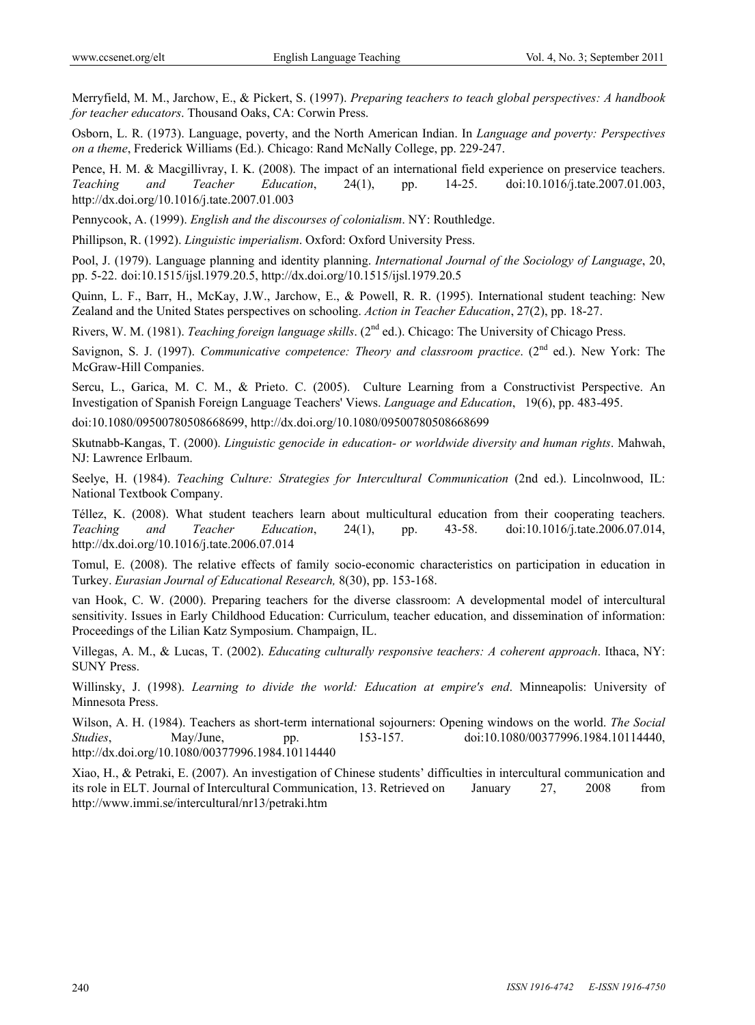Merryfield, M. M., Jarchow, E., & Pickert, S. (1997). *Preparing teachers to teach global perspectives: A handbook for teacher educators*. Thousand Oaks, CA: Corwin Press.

Osborn, L. R. (1973). Language, poverty, and the North American Indian. In *Language and poverty: Perspectives on a theme*, Frederick Williams (Ed.). Chicago: Rand McNally College, pp. 229-247.

Pence, H. M. & Macgillivray, I. K. (2008). The impact of an international field experience on preservice teachers. *Teaching and Teacher Education*, 24(1), pp. 14-25. doi:10.1016/j.tate.2007.01.003, http://dx.doi.org/10.1016/j.tate.2007.01.003

Pennycook, A. (1999). *English and the discourses of colonialism*. NY: Routhledge.

Phillipson, R. (1992). *Linguistic imperialism*. Oxford: Oxford University Press.

Pool, J. (1979). Language planning and identity planning. *International Journal of the Sociology of Language*, 20, pp. 5-22. doi:10.1515/ijsl.1979.20.5, http://dx.doi.org/10.1515/ijsl.1979.20.5

Quinn, L. F., Barr, H., McKay, J.W., Jarchow, E., & Powell, R. R. (1995). International student teaching: New Zealand and the United States perspectives on schooling. *Action in Teacher Education*, 27(2), pp. 18-27.

Rivers, W. M. (1981). *Teaching foreign language skills*. (2nd ed.). Chicago: The University of Chicago Press.

Savignon, S. J. (1997). *Communicative competence: Theory and classroom practice*. (2<sup>nd</sup> ed.). New York: The McGraw-Hill Companies.

Sercu, L., Garica, M. C. M., & Prieto. C. (2005). Culture Learning from a Constructivist Perspective. An Investigation of Spanish Foreign Language Teachers' Views. *Language and Education*, 19(6), pp. 483-495.

doi:10.1080/09500780508668699, http://dx.doi.org/10.1080/09500780508668699

Skutnabb-Kangas, T. (2000). *Linguistic genocide in education- or worldwide diversity and human rights*. Mahwah, NJ: Lawrence Erlbaum.

Seelye, H. (1984). *Teaching Culture: Strategies for Intercultural Communication* (2nd ed.). Lincolnwood, IL: National Textbook Company.

Téllez, K. (2008). What student teachers learn about multicultural education from their cooperating teachers. *Teaching and Teacher Education*, 24(1), pp. 43-58. doi:10.1016/j.tate.2006.07.014, http://dx.doi.org/10.1016/j.tate.2006.07.014

Tomul, E. (2008). The relative effects of family socio-economic characteristics on participation in education in Turkey. *Eurasian Journal of Educational Research,* 8(30), pp. 153-168.

van Hook, C. W. (2000). Preparing teachers for the diverse classroom: A developmental model of intercultural sensitivity. Issues in Early Childhood Education: Curriculum, teacher education, and dissemination of information: Proceedings of the Lilian Katz Symposium. Champaign, IL.

Villegas, A. M., & Lucas, T. (2002). *Educating culturally responsive teachers: A coherent approach*. Ithaca, NY: SUNY Press.

Willinsky, J. (1998). *Learning to divide the world: Education at empire's end*. Minneapolis: University of Minnesota Press.

Wilson, A. H. (1984). Teachers as short-term international sojourners: Opening windows on the world. *The Social Studies*, May/June, pp. 153-157. doi:10.1080/00377996.1984.10114440, http://dx.doi.org/10.1080/00377996.1984.10114440

Xiao, H., & Petraki, E. (2007). An investigation of Chinese students' difficulties in intercultural communication and its role in ELT. Journal of Intercultural Communication, 13. Retrieved on January 27, 2008 from http://www.immi.se/intercultural/nr13/petraki.htm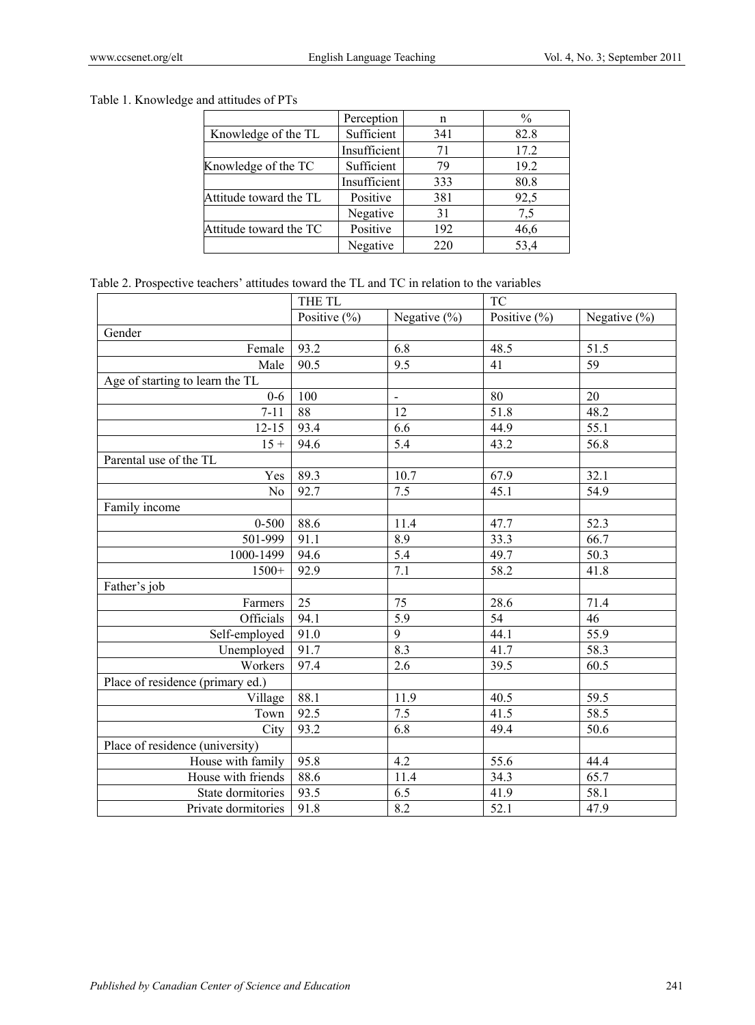## Table 1. Knowledge and attitudes of PTs

|                        | Perception<br>n |     | $\frac{0}{0}$ |  |
|------------------------|-----------------|-----|---------------|--|
| Knowledge of the TL    | Sufficient      | 341 | 82.8          |  |
|                        | Insufficient    | 71  | 17.2          |  |
| Knowledge of the TC    | Sufficient      | 79  | 19.2          |  |
|                        | Insufficient    | 333 | 80.8          |  |
| Attitude toward the TL | Positive        | 381 | 92,5          |  |
|                        | Negative        | 31  | 7,5           |  |
| Attitude toward the TC | Positive        | 192 | 46,6          |  |
|                        | Negative        | 220 | 53,4          |  |

Table 2. Prospective teachers' attitudes toward the TL and TC in relation to the variables

|                                  | THE TL          |                          | TC              |                  |
|----------------------------------|-----------------|--------------------------|-----------------|------------------|
|                                  | Positive $(\%)$ | Negative $(\% )$         | Positive $(\%)$ | Negative $(\% )$ |
| Gender                           |                 |                          |                 |                  |
| Female                           | 93.2            | 6.8                      | 48.5            | 51.5             |
| Male                             | 90.5            | 9.5                      | 41              | 59               |
| Age of starting to learn the TL  |                 |                          |                 |                  |
| $0-6$                            | 100             | $\overline{\phantom{a}}$ | 80              | 20               |
| $7 - 11$                         | 88              | 12                       | 51.8            | 48.2             |
| $12 - 15$                        | 93.4            | 6.6                      | 44.9            | 55.1             |
| $15 +$                           | 94.6            | 5.4                      | 43.2            | 56.8             |
| Parental use of the TL           |                 |                          |                 |                  |
| Yes                              | 89.3            | 10.7                     | 67.9            | 32.1             |
| No                               | 92.7            | 7.5                      | 45.1            | 54.9             |
| Family income                    |                 |                          |                 |                  |
| $0 - 500$                        | 88.6            | 11.4                     | 47.7            | 52.3             |
| 501-999                          | 91.1            | 8.9                      | 33.3            | 66.7             |
| 1000-1499                        | 94.6            | 5.4                      | 49.7            | 50.3             |
| $1500+$                          | 92.9            | 7.1                      | 58.2            | 41.8             |
| Father's job                     |                 |                          |                 |                  |
| Farmers                          | 25              | 75                       | 28.6            | 71.4             |
| Officials                        | 94.1            | 5.9                      | 54              | 46               |
| Self-employed                    | 91.0            | $\mathbf{Q}$             | 44.1            | 55.9             |
| Unemployed                       | 91.7            | 8.3                      | 41.7            | 58.3             |
| Workers                          | 97.4            | 2.6                      | 39.5            | 60.5             |
| Place of residence (primary ed.) |                 |                          |                 |                  |
| Village                          | 88.1            | 11.9                     | 40.5            | 59.5             |
| Town                             | 92.5            | 7.5                      | 41.5            | 58.5             |
| City                             | 93.2            | 6.8                      | 49.4            | 50.6             |
| Place of residence (university)  |                 |                          |                 |                  |
| House with family                | 95.8            | 4.2                      | 55.6            | 44.4             |
| House with friends               | 88.6            | 11.4                     | 34.3            | 65.7             |
| State dormitories                | 93.5            | 6.5                      | 41.9            | 58.1             |
| Private dormitories              | 91.8            | 8.2                      | 52.1            | 47.9             |